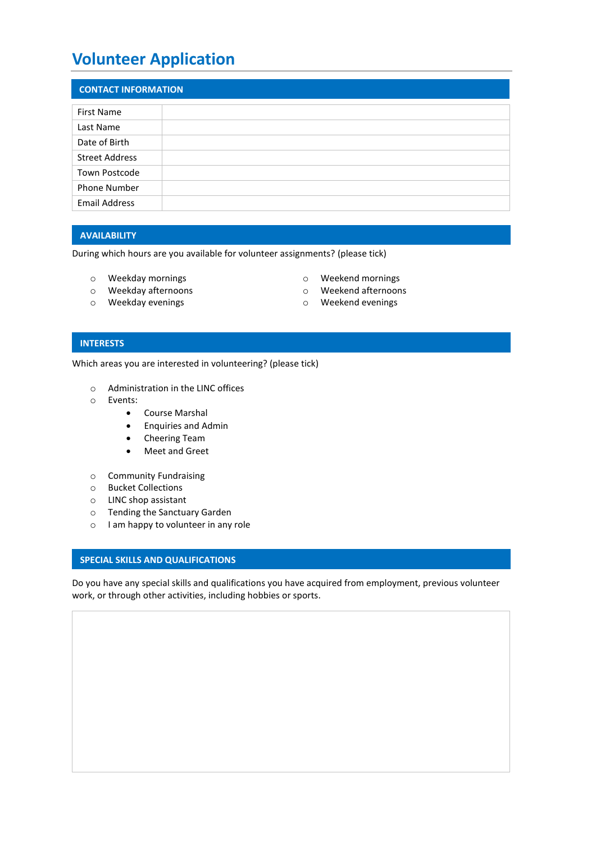# **Volunteer Application**

| <b>CONTACT INFORMATION</b> |  |  |
|----------------------------|--|--|
|                            |  |  |
| <b>First Name</b>          |  |  |
| Last Name                  |  |  |
| Date of Birth              |  |  |
| <b>Street Address</b>      |  |  |
| Town Postcode              |  |  |
| Phone Number               |  |  |
| <b>Email Address</b>       |  |  |

# **AVAILABILITY**

During which hours are you available for volunteer assignments? (please tick)

- o Weekday mornings o Weekend mornings
- 
- 
- 
- o Weekday afternoons o Weekend afternoons
- o Weekday evenings o Weekend evenings

#### **INTERESTS**

Which areas you are interested in volunteering? (please tick)

- o Administration in the LINC offices
- o Events:
	- Course Marshal
	- Enquiries and Admin
	- Cheering Team
	- Meet and Greet
- o Community Fundraising
- o Bucket Collections
- o LINC shop assistant
- o Tending the Sanctuary Garden
- o I am happy to volunteer in any role

#### **INTERESTS SPECIAL SKILLS AND QUALIFICATIONS**

Do you have any special skills and qualifications you have acquired from employment, previous volunteer work, or through other activities, including hobbies or sports.